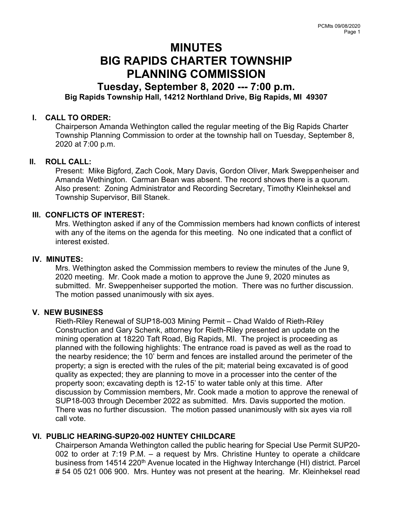# MINUTES BIG RAPIDS CHARTER TOWNSHIP PLANNING COMMISSION

# Tuesday, September 8, 2020 --- 7:00 p.m. Big Rapids Township Hall, 14212 Northland Drive, Big Rapids, MI 49307

#### I. CALL TO ORDER:

Chairperson Amanda Wethington called the regular meeting of the Big Rapids Charter Township Planning Commission to order at the township hall on Tuesday, September 8, 2020 at 7:00 p.m.

#### II. ROLL CALL:

Present: Mike Bigford, Zach Cook, Mary Davis, Gordon Oliver, Mark Sweppenheiser and Amanda Wethington. Carman Bean was absent. The record shows there is a quorum. Also present: Zoning Administrator and Recording Secretary, Timothy Kleinheksel and Township Supervisor, Bill Stanek.

#### III. CONFLICTS OF INTEREST:

Mrs. Wethington asked if any of the Commission members had known conflicts of interest with any of the items on the agenda for this meeting. No one indicated that a conflict of interest existed.

#### IV. MINUTES:

Mrs. Wethington asked the Commission members to review the minutes of the June 9, 2020 meeting. Mr. Cook made a motion to approve the June 9, 2020 minutes as submitted. Mr. Sweppenheiser supported the motion. There was no further discussion. The motion passed unanimously with six ayes.

#### V. NEW BUSINESS

Rieth-Riley Renewal of SUP18-003 Mining Permit – Chad Waldo of Rieth-Riley Construction and Gary Schenk, attorney for Rieth-Riley presented an update on the mining operation at 18220 Taft Road, Big Rapids, MI. The project is proceeding as planned with the following highlights: The entrance road is paved as well as the road to the nearby residence; the 10' berm and fences are installed around the perimeter of the property; a sign is erected with the rules of the pit; material being excavated is of good quality as expected; they are planning to move in a processer into the center of the property soon; excavating depth is 12-15' to water table only at this time. After discussion by Commission members, Mr. Cook made a motion to approve the renewal of SUP18-003 through December 2022 as submitted. Mrs. Davis supported the motion. There was no further discussion. The motion passed unanimously with six ayes via roll call vote.

#### VI. PUBLIC HEARING-SUP20-002 HUNTEY CHILDCARE

Chairperson Amanda Wethington called the public hearing for Special Use Permit SUP20- 002 to order at 7:19 P.M. – a request by Mrs. Christine Huntey to operate a childcare business from 14514 220<sup>th</sup> Avenue located in the Highway Interchange (HI) district. Parcel # 54 05 021 006 900. Mrs. Huntey was not present at the hearing. Mr. Kleinheksel read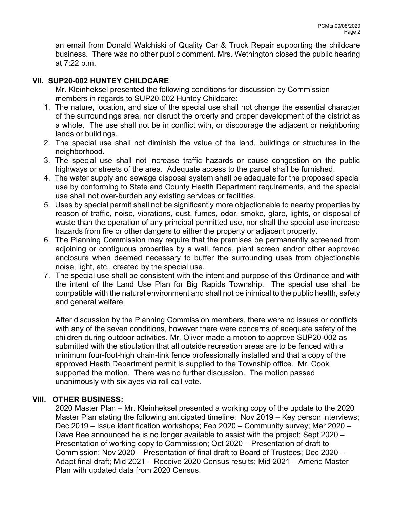an email from Donald Walchiski of Quality Car & Truck Repair supporting the childcare business. There was no other public comment. Mrs. Wethington closed the public hearing at 7:22 p.m.

## VII. SUP20-002 HUNTEY CHILDCARE

Mr. Kleinheksel presented the following conditions for discussion by Commission members in regards to SUP20-002 Huntey Childcare:

- 1. The nature, location, and size of the special use shall not change the essential character of the surroundings area, nor disrupt the orderly and proper development of the district as a whole. The use shall not be in conflict with, or discourage the adjacent or neighboring lands or buildings.
- 2. The special use shall not diminish the value of the land, buildings or structures in the neighborhood.
- 3. The special use shall not increase traffic hazards or cause congestion on the public highways or streets of the area. Adequate access to the parcel shall be furnished.
- 4. The water supply and sewage disposal system shall be adequate for the proposed special use by conforming to State and County Health Department requirements, and the special use shall not over-burden any existing services or facilities.
- 5. Uses by special permit shall not be significantly more objectionable to nearby properties by reason of traffic, noise, vibrations, dust, fumes, odor, smoke, glare, lights, or disposal of waste than the operation of any principal permitted use, nor shall the special use increase hazards from fire or other dangers to either the property or adjacent property.
- 6. The Planning Commission may require that the premises be permanently screened from adjoining or contiguous properties by a wall, fence, plant screen and/or other approved enclosure when deemed necessary to buffer the surrounding uses from objectionable noise, light, etc., created by the special use.
- 7. The special use shall be consistent with the intent and purpose of this Ordinance and with the intent of the Land Use Plan for Big Rapids Township. The special use shall be compatible with the natural environment and shall not be inimical to the public health, safety and general welfare.

After discussion by the Planning Commission members, there were no issues or conflicts with any of the seven conditions, however there were concerns of adequate safety of the children during outdoor activities. Mr. Oliver made a motion to approve SUP20-002 as submitted with the stipulation that all outside recreation areas are to be fenced with a minimum four-foot-high chain-link fence professionally installed and that a copy of the approved Heath Department permit is supplied to the Township office. Mr. Cook supported the motion. There was no further discussion. The motion passed unanimously with six ayes via roll call vote.

## VIII. OTHER BUSINESS:

2020 Master Plan – Mr. Kleinheksel presented a working copy of the update to the 2020 Master Plan stating the following anticipated timeline: Nov 2019 – Key person interviews; Dec 2019 – Issue identification workshops; Feb 2020 – Community survey; Mar 2020 – Dave Bee announced he is no longer available to assist with the project; Sept 2020 – Presentation of working copy to Commission; Oct 2020 – Presentation of draft to Commission; Nov 2020 – Presentation of final draft to Board of Trustees; Dec 2020 – Adapt final draft; Mid 2021 – Receive 2020 Census results; Mid 2021 – Amend Master Plan with updated data from 2020 Census.